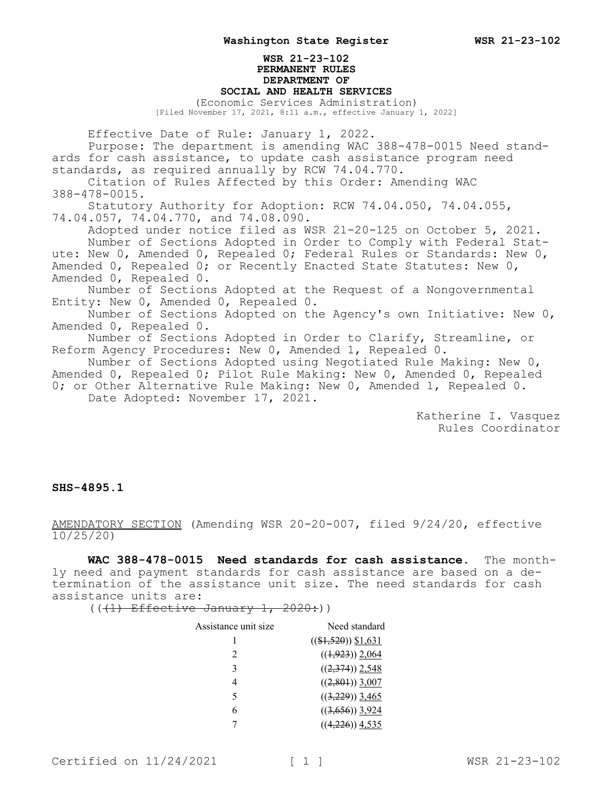## **WSR 21-23-102 PERMANENT RULES DEPARTMENT OF SOCIAL AND HEALTH SERVICES**

(Economic Services Administration) [Filed November 17, 2021, 8:11 a.m., effective January 1, 2022]

Effective Date of Rule: January 1, 2022. Purpose: The department is amending WAC 388-478-0015 Need standards for cash assistance, to update cash assistance program need standards, as required annually by RCW 74.04.770. Citation of Rules Affected by this Order: Amending WAC 388-478-0015. Statutory Authority for Adoption: RCW 74.04.050, 74.04.055, 74.04.057, 74.04.770, and 74.08.090. Adopted under notice filed as WSR 21-20-125 on October 5, 2021. Number of Sections Adopted in Order to Comply with Federal Statute: New 0, Amended 0, Repealed 0; Federal Rules or Standards: New 0, Amended 0, Repealed 0; or Recently Enacted State Statutes: New 0, Amended 0, Repealed 0. Number of Sections Adopted at the Request of a Nongovernmental Entity: New 0, Amended 0, Repealed 0. Number of Sections Adopted on the Agency's own Initiative: New 0, Amended 0, Repealed 0. Number of Sections Adopted in Order to Clarify, Streamline, or Reform Agency Procedures: New 0, Amended 1, Repealed 0. Number of Sections Adopted using Negotiated Rule Making: New 0, Amended 0, Repealed 0; Pilot Rule Making: New 0, Amended 0, Repealed 0; or Other Alternative Rule Making: New 0, Amended 1, Repealed 0. Date Adopted: November 17, 2021.

Katherine I. Vasquez Rules Coordinator

## **SHS-4895.1**

AMENDATORY SECTION (Amending WSR 20-20-007, filed 9/24/20, effective 10/25/20)

**WAC 388-478-0015 Need standards for cash assistance.** The monthly need and payment standards for cash assistance are based on a determination of the assistance unit size. The need standards for cash assistance units are:

 $((1)$  Effective January 1, 2020:))

| Assistance unit size | Need standard         |
|----------------------|-----------------------|
|                      | $((\$1,520))$ \$1,631 |
| $\mathfrak{D}$       | $((1,923))$ 2,064     |
| 3                    | $((2,374))$ 2,548     |
| 4                    | $((2,801))$ 3,007     |
| 5                    | $((3,229))$ 3,465     |
| 6                    | $((3,656))$ 3,924     |
|                      | $((4,226))$ 4,535     |